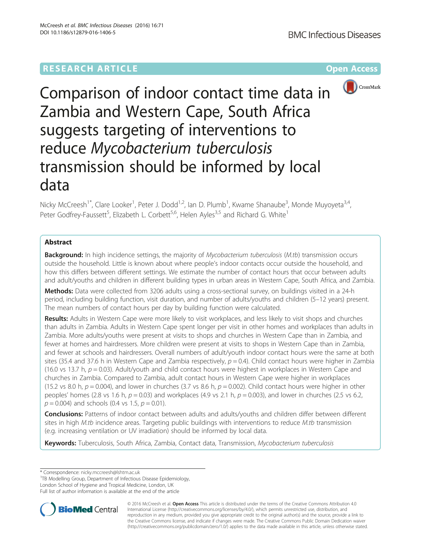# **RESEARCH ARTICLE Example 2014 12:30 The Contract of Contract ACCESS**



Comparison of indoor contact time data in Zambia and Western Cape, South Africa suggests targeting of interventions to reduce Mycobacterium tuberculosis transmission should be informed by local data

Nicky McCreesh<sup>1\*</sup>, Clare Looker<sup>1</sup>, Peter J. Dodd<sup>1,2</sup>, Ian D. Plumb<sup>1</sup>, Kwame Shanaube<sup>3</sup>, Monde Muyoyeta<sup>3,4</sup>, Peter Godfrey-Faussett<sup>5</sup>, Elizabeth L. Corbett<sup>5,6</sup>, Helen Ayles<sup>3,5</sup> and Richard G. White<sup>1</sup>

## Abstract

**Background:** In high incidence settings, the majority of Mycobacterium tuberculosis (M.tb) transmission occurs outside the household. Little is known about where people's indoor contacts occur outside the household, and how this differs between different settings. We estimate the number of contact hours that occur between adults and adult/youths and children in different building types in urban areas in Western Cape, South Africa, and Zambia.

Methods: Data were collected from 3206 adults using a cross-sectional survey, on buildings visited in a 24-h period, including building function, visit duration, and number of adults/youths and children (5–12 years) present. The mean numbers of contact hours per day by building function were calculated.

Results: Adults in Western Cape were more likely to visit workplaces, and less likely to visit shops and churches than adults in Zambia. Adults in Western Cape spent longer per visit in other homes and workplaces than adults in Zambia. More adults/youths were present at visits to shops and churches in Western Cape than in Zambia, and fewer at homes and hairdressers. More children were present at visits to shops in Western Cape than in Zambia, and fewer at schools and hairdressers. Overall numbers of adult/youth indoor contact hours were the same at both sites (35.4 and 37.6 h in Western Cape and Zambia respectively,  $p = 0.4$ ). Child contact hours were higher in Zambia (16.0 vs 13.7 h,  $p = 0.03$ ). Adult/youth and child contact hours were highest in workplaces in Western Cape and churches in Zambia. Compared to Zambia, adult contact hours in Western Cape were higher in workplaces (15.2 vs 8.0 h,  $p = 0.004$ ), and lower in churches (3.7 vs 8.6 h,  $p = 0.002$ ). Child contact hours were higher in other peoples' homes (2.8 vs 1.6 h,  $p = 0.03$ ) and workplaces (4.9 vs 2.1 h,  $p = 0.003$ ), and lower in churches (2.5 vs 6.2,  $p = 0.004$ ) and schools (0.4 vs 1.5,  $p = 0.01$ ).

Conclusions: Patterns of indoor contact between adults and adults/youths and children differ between different sites in high *M.tb* incidence areas. Targeting public buildings with interventions to reduce *M.tb* transmission (e.g. increasing ventilation or UV irradiation) should be informed by local data.

Keywords: Tuberculosis, South Africa, Zambia, Contact data, Transmission, Mycobacterium tuberculosis

\* Correspondence: [nicky.mccreesh@lshtm.ac.uk](mailto:nicky.mccreesh@lshtm.ac.uk) <sup>1</sup>

<sup>1</sup>TB Modelling Group, Department of Infectious Disease Epidemiology, London School of Hygiene and Tropical Medicine, London, UK

Full list of author information is available at the end of the article



© 2016 McCreesh et al. Open Access This article is distributed under the terms of the Creative Commons Attribution 4.0 International License [\(http://creativecommons.org/licenses/by/4.0/](http://creativecommons.org/licenses/by/4.0/)), which permits unrestricted use, distribution, and reproduction in any medium, provided you give appropriate credit to the original author(s) and the source, provide a link to the Creative Commons license, and indicate if changes were made. The Creative Commons Public Domain Dedication waiver [\(http://creativecommons.org/publicdomain/zero/1.0/](http://creativecommons.org/publicdomain/zero/1.0/)) applies to the data made available in this article, unless otherwise stated.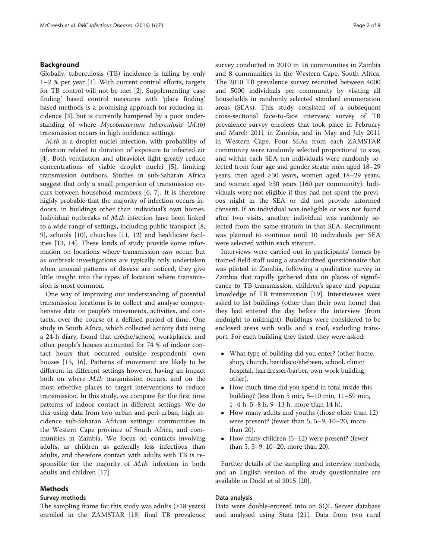## Background

Globally, tuberculosis (TB) incidence is falling by only 1–2 % per year [[1\]](#page-8-0). With current control efforts, targets for TB control will not be met [[2\]](#page-8-0). Supplementing 'case finding' based control measures with 'place finding' based methods is a promising approach for reducing incidence [\[3](#page-8-0)], but is currently hampered by a poor understanding of where Mycobacterium tuberculosis (M.tb) transmission occurs in high incidence settings.

M.tb is a droplet nuclei infection, with probability of infection related to duration of exposure to infected air [[4\]](#page-8-0). Both ventilation and ultraviolet light greatly reduce concentrations of viable droplet nuclei [[5](#page-8-0)], limiting transmission outdoors. Studies in sub-Saharan Africa suggest that only a small proportion of transmission occurs between household members [\[6, 7](#page-8-0)]. It is therefore highly probable that the majority of infection occurs indoors, in buildings other than individual's own homes. Individual outbreaks of M.tb infection have been linked to a wide range of settings, including public transport [\[8](#page-8-0), [9\]](#page-8-0), schools [\[10](#page-8-0)], churches [[11](#page-8-0), [12\]](#page-8-0) and healthcare facilities [\[13](#page-8-0), [14](#page-8-0)]. These kinds of study provide some information on locations where transmission can occur, but as outbreak investigations are typically only undertaken when unusual patterns of disease are noticed, they give little insight into the types of location where transmission is most common.

One way of improving our understanding of potential transmission locations is to collect and analyse comprehensive data on people's movements, activities, and contacts, over the course of a defined period of time. One study in South Africa, which collected activity data using a 24-h diary, found that crèche/school, workplaces, and other people's houses accounted for 74 % of indoor contact hours that occurred outside respondents' own houses [[15, 16](#page-8-0)]. Patterns of movement are likely to be different in different settings however, having an impact both on where M.tb transmission occurs, and on the most effective places to target interventions to reduce transmission. In this study, we compare for the first time patterns of indoor contact in different settings. We do this using data from two urban and peri-urban, high incidence sub-Saharan African settings: communities in the Western Cape province of South Africa, and communities in Zambia. We focus on contacts involving adults, as children as generally less infectious than adults, and therefore contact with adults with TB is responsible for the majority of M.tb. infection in both adults and children [[17\]](#page-8-0).

## Methods

## Survey methods

The sampling frame for this study was adults  $(≥18$  years) enrolled in the ZAMSTAR [\[18](#page-8-0)] final TB prevalence survey conducted in 2010 in 16 communities in Zambia and 8 communities in the Western Cape, South Africa. The 2010 TB prevalence survey recruited between 4000 and 5000 individuals per community by visiting all households in randomly selected standard enumeration areas (SEAs). This study consisted of a subsequent cross-sectional face-to-face interview survey of TB prevalence survey enrolees that took place in February and March 2011 in Zambia, and in May and July 2011 in Western Cape. Four SEAs from each ZAMSTAR community were randomly selected proportional to size, and within each SEA ten individuals were randomly selected from four age and gender strata: men aged 18–29 years, men aged ≥30 years, women aged 18–29 years, and women aged ≥30 years (160 per community). Individuals were not eligible if they had not spent the previous night in the SEA or did not provide informed consent. If an individual was ineligible or was not found after two visits, another individual was randomly selected from the same stratum in that SEA. Recruitment was planned to continue until 10 individuals per SEA were selected within each stratum.

Interviews were carried out in participants' homes by trained field staff using a standardized questionnaire that was piloted in Zambia, following a qualitative survey in Zambia that rapidly gathered data on places of significance to TB transmission, children's space and popular knowledge of TB transmission [\[19](#page-8-0)]. Interviewees were asked to list buildings (other than their own home) that they had entered the day before the interview (from midnight to midnight). Buildings were considered to be enclosed areas with walls and a roof, excluding transport. For each building they listed, they were asked:

- What type of building did you enter? (other home, shop, church, bar/disco/shebeen, school, clinic/ hospital, hairdresser/barber, own work building, other).
- How much time did you spend in total inside this building? (less than 5 min, 5–10 min, 11–59 min, 1–4 h, 5–8 h, 9–13 h, more than 14 h).
- How many adults and youths (those older than 12) were present? (fewer than 5, 5–9, 10–20, more than 20).
- How many children (5–12) were present? (fewer than 5, 5–9, 10–20, more than 20).

Further details of the sampling and interview methods, and an English version of the study questionnaire are available in Dodd et al 2015 [\[20\]](#page-8-0).

#### Data analysis

Data were double-entered into an SQL Server database and analysed using Stata [[21](#page-8-0)]. Data from two rural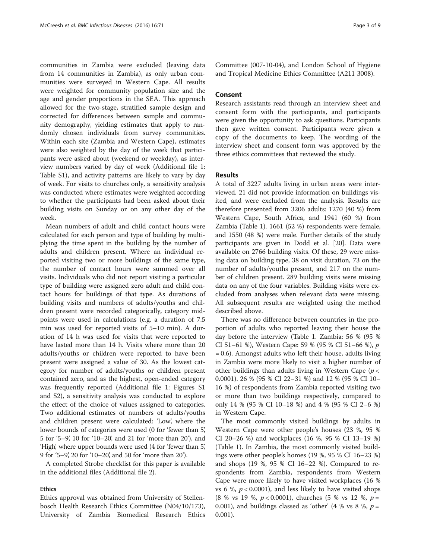communities in Zambia were excluded (leaving data from 14 communities in Zambia), as only urban communities were surveyed in Western Cape. All results were weighted for community population size and the age and gender proportions in the SEA. This approach allowed for the two-stage, stratified sample design and corrected for differences between sample and community demography, yielding estimates that apply to randomly chosen individuals from survey communities. Within each site (Zambia and Western Cape), estimates were also weighted by the day of the week that participants were asked about (weekend or weekday), as interview numbers varied by day of week (Additional file [1](#page-7-0): Table S1), and activity patterns are likely to vary by day of week. For visits to churches only, a sensitivity analysis was conducted where estimates were weighted according to whether the participants had been asked about their building visits on Sunday or on any other day of the week.

Mean numbers of adult and child contact hours were calculated for each person and type of building by multiplying the time spent in the building by the number of adults and children present. Where an individual reported visiting two or more buildings of the same type, the number of contact hours were summed over all visits. Individuals who did not report visiting a particular type of building were assigned zero adult and child contact hours for buildings of that type. As durations of building visits and numbers of adults/youths and children present were recorded categorically, category midpoints were used in calculations (e.g. a duration of 7.5 min was used for reported visits of 5–10 min). A duration of 14 h was used for visits that were reported to have lasted more than 14 h. Visits where more than 20 adults/youths or children were reported to have been present were assigned a value of 30. As the lowest category for number of adults/youths or children present contained zero, and as the highest, open-ended category was frequently reported (Additional file [1](#page-7-0): Figures S1 and S2), a sensitivity analysis was conducted to explore the effect of the choice of values assigned to categories. Two additional estimates of numbers of adults/youths and children present were calculated: 'Low', where the lower bounds of categories were used (0 for 'fewer than 5', 5 for '5–9', 10 for '10–20', and 21 for 'more than 20'), and 'High', where upper bounds were used (4 for 'fewer than 5', 9 for '5–9', 20 for '10–20', and 50 for 'more than 20').

A completed Strobe checklist for this paper is available in the additional files (Additional file [2\)](#page-7-0).

## Ethics

Ethics approval was obtained from University of Stellenbosch Health Research Ethics Committee (N04/10/173), University of Zambia Biomedical Research Ethics

Committee (007-10-04), and London School of Hygiene and Tropical Medicine Ethics Committee (A211 3008).

### Consent

Research assistants read through an interview sheet and consent form with the participants, and participants were given the opportunity to ask questions. Participants then gave written consent. Participants were given a copy of the documents to keep. The wording of the interview sheet and consent form was approved by the three ethics committees that reviewed the study.

## Results

A total of 3227 adults living in urban areas were interviewed. 21 did not provide information on buildings visited, and were excluded from the analysis. Results are therefore presented from 3206 adults: 1270 (40 %) from Western Cape, South Africa, and 1941 (60 %) from Zambia (Table [1\)](#page-3-0). 1661 (52 %) respondents were female, and 1550 (48 %) were male. Further details of the study participants are given in Dodd et al. [\[20](#page-8-0)]. Data were available on 2766 building visits. Of these, 29 were missing data on building type, 38 on visit duration, 73 on the number of adults/youths present, and 217 on the number of children present. 289 building visits were missing data on any of the four variables. Building visits were excluded from analyses when relevant data were missing. All subsequent results are weighted using the method described above.

There was no difference between countries in the proportion of adults who reported leaving their house the day before the interview (Table [1.](#page-3-0) Zambia: 56 % (95 % CI 51–61 %), Western Cape: 59 % (95 % CI 51–66 %), p = 0.6). Amongst adults who left their house, adults living in Zambia were more likely to visit a higher number of other buildings than adults living in Western Cape ( $p <$ 0.0001). 26 % (95 % CI 22–31 %) and 12 % (95 % CI 10– 16 %) of respondents from Zambia reported visiting two or more than two buildings respectively, compared to only 14 % (95 % CI 10–18 %) and 4 % (95 % CI 2–6 %) in Western Cape.

The most commonly visited buildings by adults in Western Cape were other people's houses (23 %, 95 % CI 20–26 %) and workplaces (16 %, 95 % CI 13–19 %) (Table [1\)](#page-3-0). In Zambia, the most commonly visited buildings were other people's homes (19 %, 95 % CI 16–23 %) and shops (19 %, 95 % CI 16–22 %). Compared to respondents from Zambia, respondents from Western Cape were more likely to have visited workplaces (16 % vs 6 %,  $p < 0.0001$ ), and less likely to have visited shops  $(8 \% \text{ vs } 19 \% \text{, } p < 0.0001)$ , churches  $(5 \% \text{ vs } 12 \% \text{, } p =$ 0.001), and buildings classed as 'other' (4 % vs 8 %,  $p =$ 0.001).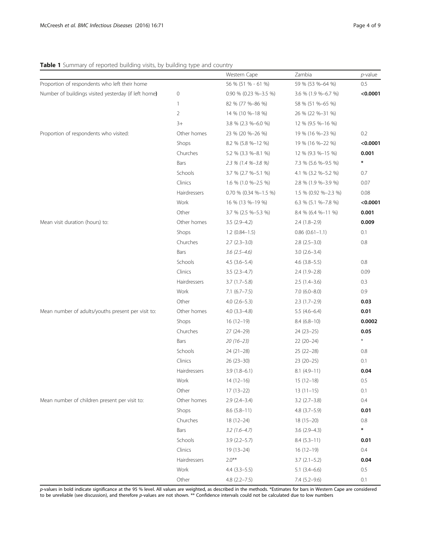## <span id="page-3-0"></span>Table 1 Summary of reported building visits, by building type and country

|                                                      |                | Western Cape          | Zambia                | $p$ -value |
|------------------------------------------------------|----------------|-----------------------|-----------------------|------------|
| Proportion of respondents who left their home        |                | 56 % (51 % - 61 %)    | 59 % (53 %-64 %)      | 0.5        |
| Number of buildings visited yesterday (if left home) | $\mathbf 0$    | 0.90 % (0.23 %-3.5 %) | 3.6 % (1.9 %-6.7 %)   | < 0.0001   |
|                                                      | $\mathbf{1}$   | 82 % (77 %-86 %)      | 58 % (51 %-65 %)      |            |
|                                                      | $\overline{2}$ | 14 % (10 %-18 %)      | 26 % (22 %-31 %)      |            |
|                                                      | $3+$           | 3.8 % (2.3 %-6.0 %)   | 12 % (9.5 %-16 %)     |            |
| Proportion of respondents who visited:               | Other homes    | 23 % (20 %-26 %)      | 19 % (16 %-23 %)      | 0.2        |
|                                                      | Shops          | $8.2\%$ (5.8 %-12 %)  | 19 % (16 %-22 %)      | < 0.0001   |
|                                                      | Churches       | 5.2 % (3.3 %-8.1 %)   | 12 % (9.3 %-15 %)     | 0.001      |
|                                                      | Bars           | 2.3 % (1.4 %-3.8 %)   | 7.3 % (5.6 %-9.5 %)   | $\ast$     |
|                                                      | Schools        | 3.7 % (2.7 %-5.1 %)   | 4.1 % (3.2 %-5.2 %)   | 0.7        |
|                                                      | Clinics        | 1.6 % (1.0 %-2.5 %)   | 2.8 % (1.9 %-3.9 %)   | 0.07       |
|                                                      | Hairdressers   | 0.70 % (0.34 %-1.5 %) | 1.5 % (0.92 %-2.3 %)  | 0.08       |
|                                                      | Work           | 16 % (13 %-19 %)      | $6.3\%$ (5.1 %-7.8 %) | < 0.0001   |
|                                                      | Other          | 3.7 % (2.5 %-5.3 %)   | 8.4 % (6.4 %-11 %)    | 0.001      |
| Mean visit duration (hours) to:                      | Other homes    | $3.5(2.9-4.2)$        | $2.4(1.8-2.9)$        | 0.009      |
|                                                      | Shops          | $1.2(0.84-1.5)$       | $0.86$ $(0.61-1.1)$   | 0.1        |
|                                                      | Churches       | $2.7$ ( $2.3 - 3.0$ ) | $2.8$ $(2.5-3.0)$     | $0.8\,$    |
|                                                      | Bars           | $3.6(2.5-4.6)$        | $3.0(2.6 - 3.4)$      |            |
|                                                      | Schools        | $4.5(3.6-5.4)$        | $4.6$ (3.8-5.5)       | 0.8        |
|                                                      | Clinics        | $3.5(2.3-4.7)$        | $2.4(1.9-2.8)$        | 0.09       |
|                                                      | Hairdressers   | $3.7(1.7-5.8)$        | $2.5(1.4-3.6)$        | 0.3        |
|                                                      | Work           | $7.1(6.7 - 7.5)$      | $7.0(6.0 - 8.0)$      | 0.9        |
|                                                      | Other          | $4.0(2.6-5.3)$        | $2.3(1.7-2.9)$        | 0.03       |
| Mean number of adults/youths present per visit to:   | Other homes    | $4.0$ $(3.3-4.8)$     | $5.5(4.6-6.4)$        | 0.01       |
|                                                      | Shops          | $16(12-19)$           | $8.4(6.8-10)$         | 0.0002     |
|                                                      | Churches       | $27(24-29)$           | $24(23-25)$           | 0.05       |
|                                                      | Bars           | $20(16-23)$           | $22(20-24)$           | $\ast$     |
|                                                      | Schools        | $24(21-28)$           | $25(22-28)$           | 0.8        |
|                                                      | Clinics        | $26(23-30)$           | $23(20-25)$           | 0.1        |
|                                                      | Hairdressers   | $3.9(1.8-6.1)$        | $8.1(4.9-11)$         | 0.04       |
|                                                      | Work           | $14(12-16)$           | $15(12-18)$           | 0.5        |
|                                                      | Other          | $17(13-22)$           | $13(11-15)$           | 0.1        |
| Mean number of children present per visit to:        | Other homes    | $2.9(2.4 - 3.4)$      | $3.2$ (2.7-3.8)       | 0.4        |
|                                                      | Shops          | $8.6(5.8-11)$         | $4.8$ (3.7-5.9)       | 0.01       |
|                                                      | Churches       | $18(12-24)$           | $18(15-20)$           | $0.8\,$    |
|                                                      | Bars           | $3.2(1.6-4.7)$        | $3.6(2.9-4.3)$        | $\ast$     |
|                                                      | Schools        | $3.9(2.2 - 5.7)$      | $8.4(5.3-11)$         | 0.01       |
|                                                      | Clinics        | $19(13-24)$           | $16(12-19)$           | 0.4        |
|                                                      | Hairdressers   | $2.0***$              | $3.7(2.1 - 5.2)$      | 0.04       |
|                                                      | Work           | $4.4(3.3-5.5)$        | $5.1(3.4-6.6)$        | 0.5        |
|                                                      | Other          | $4.8$ (2.2-7.5)       | $7.4(5.2-9.6)$        | 0.1        |

p-values in bold indicate significance at the 95 % level. All values are weighted, as described in the methods. \*Estimates for bars in Western Cape are considered to be unreliable (see discussion), and therefore p-values are not shown. \*\* Confidence intervals could not be calculated due to low numbers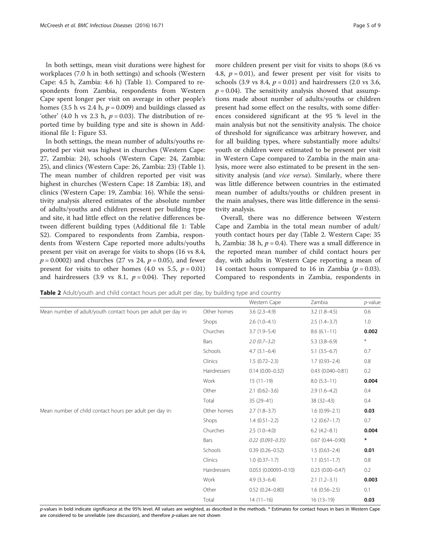homes (3.5 h vs 2.4 h,  $p = 0.009$ ) and buildings classed as 'other' (4.0 h vs 2.3 h,  $p = 0.03$ ). The distribution of reported time by building type and site is shown in Additional file [1:](#page-7-0) Figure S3.

In both settings, the mean number of adults/youths reported per visit was highest in churches (Western Cape: 27, Zambia: 24), schools (Western Cape: 24, Zambia: 25), and clinics (Western Cape: 26, Zambia: 23) (Table [1](#page-3-0)). The mean number of children reported per visit was highest in churches (Western Cape: 18 Zambia: 18), and clinics (Western Cape: 19, Zambia: 16). While the sensitivity analysis altered estimates of the absolute number of adults/youths and children present per building type and site, it had little effect on the relative differences between different building types (Additional file [1:](#page-7-0) Table S2). Compared to respondents from Zambia, respondents from Western Cape reported more adults/youths present per visit on average for visits to shops (16 vs 8.4,  $p = 0.0002$ ) and churches (27 vs 24,  $p = 0.05$ ), and fewer present for visits to other homes (4.0 vs 5.5,  $p = 0.01$ ) and hairdressers (3.9 vs 8.1,  $p = 0.04$ ). They reported more children present per visit for visits to shops (8.6 vs 4.8,  $p = 0.01$ ), and fewer present per visit for visits to schools (3.9 vs 8.4,  $p = 0.01$ ) and hairdressers (2.0 vs 3.6,  $p = 0.04$ ). The sensitivity analysis showed that assumptions made about number of adults/youths or children present had some effect on the results, with some differences considered significant at the 95 % level in the main analysis but not the sensitivity analysis. The choice of threshold for significance was arbitrary however, and for all building types, where substantially more adults/ youth or children were estimated to be present per visit in Western Cape compared to Zambia in the main analysis, more were also estimated to be present in the sensitivity analysis (and *vice versa*). Similarly, where there was little difference between countries in the estimated mean number of adults/youths or children present in the main analyses, there was little difference in the sensitivity analysis.

Overall, there was no difference between Western Cape and Zambia in the total mean number of adult/ youth contact hours per day (Table 2. Western Cape: 35 h, Zambia: 38 h,  $p = 0.4$ ). There was a small difference in the reported mean number of child contact hours per day, with adults in Western Cape reporting a mean of 14 contact hours compared to 16 in Zambia ( $p = 0.03$ ). Compared to respondents in Zambia, respondents in

Table 2 Adult/youth and child contact hours per adult per day, by building type and country

|                                                                |              | Western Cape           | Zambia               | $p$ -value |
|----------------------------------------------------------------|--------------|------------------------|----------------------|------------|
| Mean number of adult/youth contact hours per adult per day in: | Other homes  | $3.6(2.3-4.9)$         | $3.2(1.8-4.5)$       | 0.6        |
|                                                                | Shops        | $2.6(1.0-4.1)$         | $2.5(1.4-3.7)$       | 1.0        |
|                                                                | Churches     | $3.7(1.9 - 5.4)$       | $8.6(6.1-11)$        | 0.002      |
|                                                                | Bars         | $2.0(0.7 - 3.2)$       | $5.3(3.8-6.9)$       | $\ast$     |
|                                                                | Schools      | $4.7(3.1-6.4)$         | $5.1(3.5-6.7)$       | 0.7        |
|                                                                | Clinics      | $1.5(0.72 - 2.3)$      | $1.7(0.93 - 2.4)$    | $0.8\,$    |
|                                                                | Hairdressers | $0.14(0.00 - 0.32)$    | $0.43(0.040 - 0.81)$ | 0.2        |
|                                                                | Work         | $15(11-19)$            | $8.0(5.3-11)$        | 0.004      |
|                                                                | Other        | $2.1(0.62 - 3.6)$      | $2.9(1.6-4.2)$       | 0.4        |
|                                                                | Total        | $35(29-41)$            | $38(32-43)$          | 0.4        |
| Mean number of child contact hours per adult per day in:       | Other homes  | $2.7(1.8-3.7)$         | $1.6(0.99 - 2.1)$    | 0.03       |
|                                                                | Shops        | $1.4(0.51 - 2.2)$      | $1.2(0.67-1.7)$      | 0.7        |
|                                                                | Churches     | $2.5(1.0-4.0)$         | $6.2$ (4.2-8.1)      | 0.004      |
|                                                                | Bars         | $0.22$ (0.093-0.35)    | $0.67(0.44 - 0.90)$  | $\ast$     |
|                                                                | Schools      | $0.39(0.26 - 0.52)$    | $1.5(0.63 - 2.4)$    | 0.01       |
|                                                                | Clinics      | $1.0(0.37-1.7)$        | $1.1(0.51-1.7)$      | 0.8        |
|                                                                | Hairdressers | $0.053$ (0.00093-0.10) | $0.23(0.00 - 0.47)$  | 0.2        |
|                                                                | Work         | $4.9(3.3-6.4)$         | $2.1(1.2-3.1)$       | 0.003      |
|                                                                | Other        | $0.52(0.24 - 0.80)$    | $1.6(0.56 - 2.5)$    | 0.1        |
|                                                                | Total        | $14(11-16)$            | $16(13-19)$          | 0.03       |

p-values in bold indicate significance at the 95% level. All values are weighted, as described in the methods. \* Estimates for contact hours in bars in Western Cape are considered to be unreliable (see discussion), and therefore p-values are not shown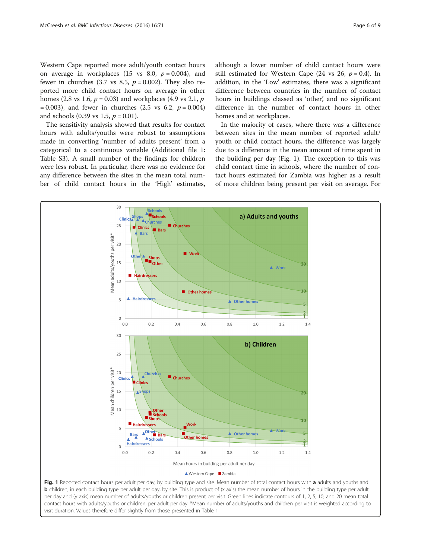Western Cape reported more adult/youth contact hours on average in workplaces (15 vs 8.0,  $p = 0.004$ ), and fewer in churches (3.7 vs 8.5,  $p = 0.002$ ). They also reported more child contact hours on average in other homes (2.8 vs 1.6,  $p = 0.03$ ) and workplaces (4.9 vs 2.1,  $p$ )  $= 0.003$ ), and fewer in churches (2.5 vs 6.2,  $p = 0.004$ ) and schools (0.39 vs 1.5,  $p = 0.01$ ).

The sensitivity analysis showed that results for contact hours with adults/youths were robust to assumptions made in converting 'number of adults present' from a categorical to a continuous variable (Additional file [1](#page-7-0): Table S3). A small number of the findings for children were less robust. In particular, there was no evidence for any difference between the sites in the mean total number of child contact hours in the 'High' estimates,

visit duration. Values therefore differ slightly from those presented in Table [1](#page-3-0)

although a lower number of child contact hours were still estimated for Western Cape (24 vs 26,  $p = 0.4$ ). In addition, in the 'Low' estimates, there was a significant difference between countries in the number of contact hours in buildings classed as 'other', and no significant difference in the number of contact hours in other homes and at workplaces.

In the majority of cases, where there was a difference between sites in the mean number of reported adult/ youth or child contact hours, the difference was largely due to a difference in the mean amount of time spent in the building per day (Fig. 1). The exception to this was child contact time in schools, where the number of contact hours estimated for Zambia was higher as a result of more children being present per visit on average. For

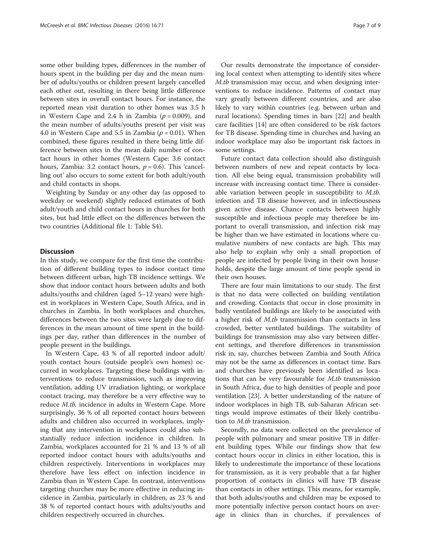some other building types, differences in the number of hours spent in the building per day and the mean number of adults/youths or children present largely cancelled each other out, resulting in there being little difference between sites in overall contact hours. For instance, the reported mean visit duration to other homes was 3.5 h in Western Cape and 2.4 h in Zambia ( $p = 0.009$ ), and the mean number of adults/youths present per visit was 4.0 in Western Cape and 5.5 in Zambia ( $p = 0.01$ ). When combined, these figures resulted in there being little difference between sites in the mean daily number of contact hours in other homes (Western Cape: 3.6 contact hours, Zambia: 3.2 contact hours,  $p = 0.6$ ). This 'cancelling out' also occurs to some extent for both adult/youth and child contacts in shops.

Weighting by Sunday or any other day (as opposed to weekday or weekend) slightly reduced estimates of both adult/youth and child contact hours in churches for both sites, but had little effect on the differences between the two countries (Additional file [1](#page-7-0): Table S4).

### **Discussion**

In this study, we compare for the first time the contribution of different building types to indoor contact time between different urban, high TB incidence settings. We show that indoor contact hours between adults and both adults/youths and children (aged 5–12 years) were highest in workplaces in Western Cape, South Africa, and in churches in Zambia. In both workplaces and churches, differences between the two sites were largely due to differences in the mean amount of time spent in the buildings per day, rather than differences in the number of people present in the buildings.

In Western Cape, 43 % of all reported indoor adult/ youth contact hours (outside people's own homes) occurred in workplaces. Targeting these buildings with interventions to reduce transmission, such as improving ventilation, adding UV irradiation lighting, or workplace contact tracing, may therefore be a very effective way to reduce M.tb. incidence in adults in Western Cape. More surprisingly, 36 % of all reported contact hours between adults and children also occurred in workplaces, implying that any intervention in workplaces could also substantially reduce infection incidence in children. In Zambia, workplaces accounted for 21 % and 13 % of all reported indoor contact hours with adults/youths and children respectively. Interventions in workplaces may therefore have less effect on infection incidence in Zambia than in Western Cape. In contrast, interventions targeting churches may be more effective in reducing incidence in Zambia, particularly in children, as 23 % and 38 % of reported contact hours with adults/youths and children respectively occurred in churches.

Our results demonstrate the importance of considering local context when attempting to identify sites where M.tb transmission may occur, and when designing interventions to reduce incidence. Patterns of contact may vary greatly between different countries, and are also likely to vary within countries (e.g. between urban and rural locations). Spending times in bars [[22](#page-8-0)] and health care facilities [[14](#page-8-0)] are often considered to be risk factors for TB disease. Spending time in churches and having an indoor workplace may also be important risk factors in some settings.

Future contact data collection should also distinguish between numbers of new and repeat contacts by location. All else being equal, transmission probability will increase with increasing contact time. There is considerable variation between people in susceptibility to M.tb. infection and TB disease however, and in infectiousness given active disease. Chance contacts between highly susceptible and infectious people may therefore be important to overall transmission, and infection risk may be higher than we have estimated in locations where cumulative numbers of new contacts are high. This may also help to explain why only a small proportion of people are infected by people living in their own households, despite the large amount of time people spend in their own houses.

There are four main limitations to our study. The first is that no data were collected on building ventilation and crowding. Contacts that occur in close proximity in badly ventilated buildings are likely to be associated with a higher risk of M.tb transmission than contacts in less crowded, better ventilated buildings. The suitability of buildings for transmission may also vary between different settings, and therefore differences in transmission risk in, say, churches between Zambia and South Africa may not be the same as differences in contact time. Bars and churches have previously been identified as locations that can be very favourable for M.tb transmission in South Africa, due to high densities of people and poor ventilation [[23](#page-8-0)]. A better understanding of the nature of indoor workplaces in high TB, sub-Saharan African settings would improve estimates of their likely contribution to M.tb transmission.

Secondly, no data were collected on the prevalence of people with pulmonary and smear positive TB in different building types. While our findings show that few contact hours occur in clinics in either location, this is likely to underestimate the importance of these locations for transmission, as it is very probable that a far higher proportion of contacts in clinics will have TB disease than contacts in other settings. This means, for example, that both adults/youths and children may be exposed to more potentially infective person contact hours on average in clinics than in churches, if prevalences of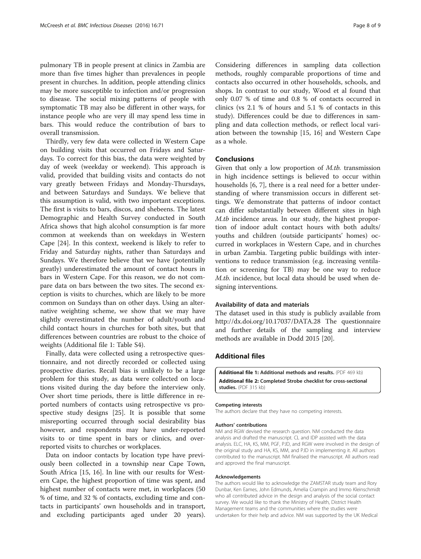<span id="page-7-0"></span>pulmonary TB in people present at clinics in Zambia are more than five times higher than prevalences in people present in churches. In addition, people attending clinics may be more susceptible to infection and/or progression to disease. The social mixing patterns of people with symptomatic TB may also be different in other ways, for instance people who are very ill may spend less time in bars. This would reduce the contribution of bars to overall transmission.

Thirdly, very few data were collected in Western Cape on building visits that occurred on Fridays and Saturdays. To correct for this bias, the data were weighted by day of week (weekday or weekend). This approach is valid, provided that building visits and contacts do not vary greatly between Fridays and Monday-Thursdays, and between Saturdays and Sundays. We believe that this assumption is valid, with two important exceptions. The first is visits to bars, discos, and shebeens. The latest Demographic and Health Survey conducted in South Africa shows that high alcohol consumption is far more common at weekends than on weekdays in Western Cape [\[24](#page-8-0)]. In this context, weekend is likely to refer to Friday and Saturday nights, rather than Saturdays and Sundays. We therefore believe that we have (potentially greatly) underestimated the amount of contact hours in bars in Western Cape. For this reason, we do not compare data on bars between the two sites. The second exception is visits to churches, which are likely to be more common on Sundays than on other days. Using an alternative weighting scheme, we show that we may have slightly overestimated the number of adult/youth and child contact hours in churches for both sites, but that differences between countries are robust to the choice of weights (Additional file 1: Table S4).

Finally, data were collected using a retrospective questionnaire, and not directly recorded or collected using prospective diaries. Recall bias is unlikely to be a large problem for this study, as data were collected on locations visited during the day before the interview only. Over short time periods, there is little difference in reported numbers of contacts using retrospective vs prospective study designs [\[25](#page-8-0)]. It is possible that some misreporting occurred through social desirability bias however, and respondents may have under-reported visits to or time spent in bars or clinics, and overreported visits to churches or workplaces.

Data on indoor contacts by location type have previously been collected in a township near Cape Town, South Africa [[15, 16](#page-8-0)]. In line with our results for Western Cape, the highest proportion of time was spent, and highest number of contacts were met, in workplaces (50 % of time, and 32 % of contacts, excluding time and contacts in participants' own households and in transport, and excluding participants aged under 20 years).

Considering differences in sampling data collection methods, roughly comparable proportions of time and contacts also occurred in other households, schools, and shops. In contrast to our study, Wood et al found that only 0.07 % of time and 0.8 % of contacts occurred in clinics (vs 2.1 % of hours and 5.1 % of contacts in this study). Differences could be due to differences in sampling and data collection methods, or reflect local variation between the township [[15, 16](#page-8-0)] and Western Cape as a whole.

### Conclusions

Given that only a low proportion of M.tb. transmission in high incidence settings is believed to occur within households [[6, 7\]](#page-8-0), there is a real need for a better understanding of where transmission occurs in different settings. We demonstrate that patterns of indoor contact can differ substantially between different sites in high M.tb incidence areas. In our study, the highest proportion of indoor adult contact hours with both adults/ youths and children (outside participants' homes) occurred in workplaces in Western Cape, and in churches in urban Zambia. Targeting public buildings with interventions to reduce transmission (e.g. increasing ventilation or screening for TB) may be one way to reduce M.tb. incidence, but local data should be used when designing interventions.

#### Availability of data and materials

The dataset used in this study is publicly available from <http://dx.doi.org/10.17037/DATA.28> The questionnaire and further details of the sampling and interview methods are available in Dodd 2015 [\[20](#page-8-0)].

## Additional files

[Additional file 1:](dx.doi.org/10.1186/s12879-016-1406-5) Additional methods and results. (PDF 469 kb) [Additional file 2:](dx.doi.org/10.1186/s12879-016-1406-5) Completed Strobe checklist for cross-sectional studies. (PDF 315 kb)

#### Competing interests

The authors declare that they have no competing interests.

#### Authors' contributions

NM and RGW devised the research question. NM conducted the data analysis and drafted the manuscript. CL and IDP assisted with the data analysis. ELC, HA, KS, MM, PGF, PJD, and RGW were involved in the design of the original study and HA, KS, MM, and PJD in implementing it. All authors contributed to the manuscript. NM finalised the manuscript. All authors read and approved the final manuscript.

#### Acknowledgements

The authors would like to acknowledge the ZAMSTAR study team and Rory Dunbar, Ken Eames, John Edmunds, Amelia Crampin and Immo Kleinschmidt who all contributed advice in the design and analysis of the social contact survey. We would like to thank the Ministry of Health, District Health Management teams and the communities where the studies were undertaken for their help and advice. NM was supported by the UK Medical